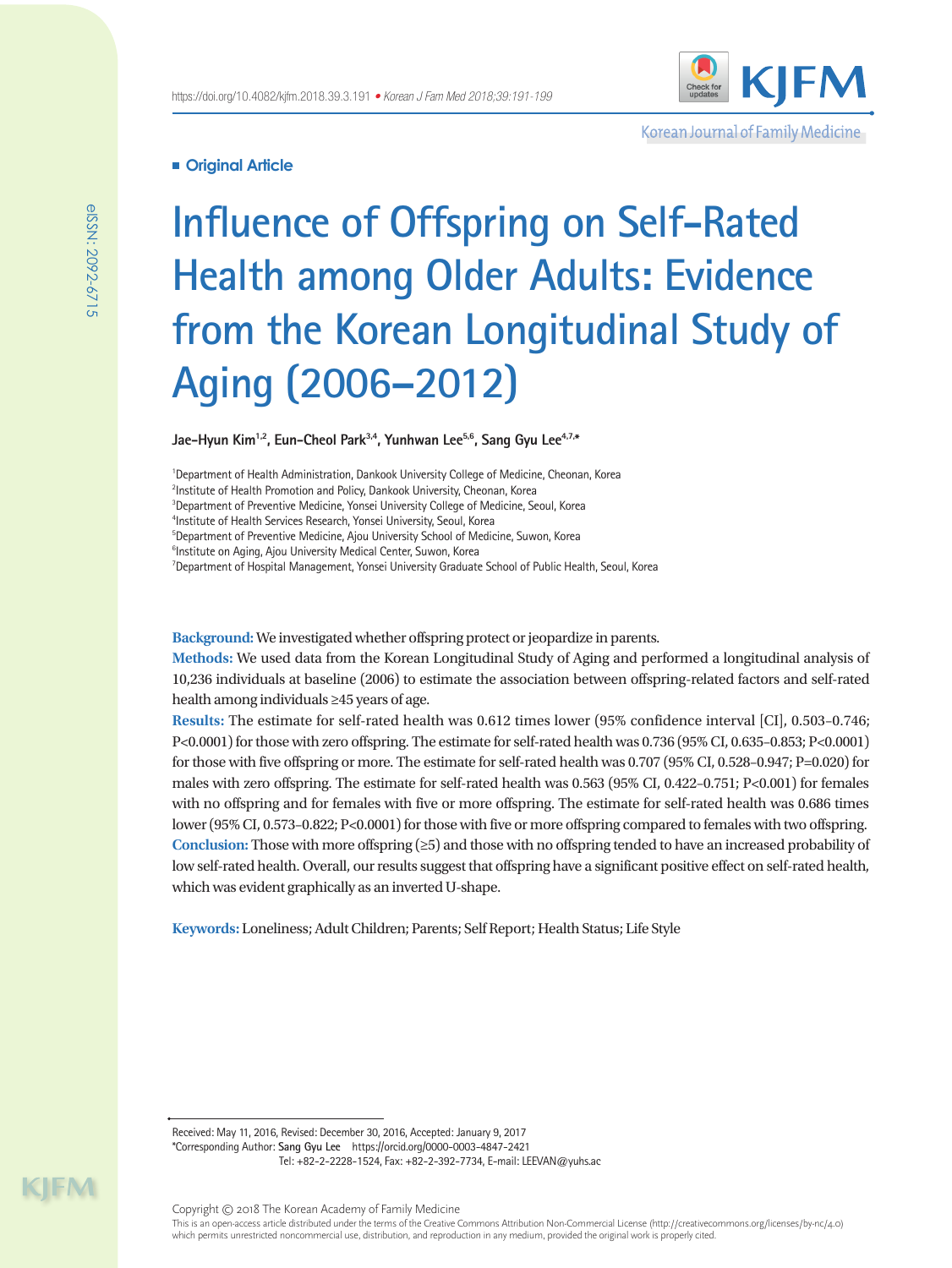

Korean Journal of Family Medicine

# **Original Article**

# **Influence of Offspring on Self-Rated Health among Older Adults: Evidence from the Korean Longitudinal Study of Aging (2006–2012)**

Jae-Hyun Kim<sup>1,2</sup>, Eun-Cheol Park<sup>3,4</sup>, Yunhwan Lee<sup>5,6</sup>, Sang Gyu Lee<sup>4,7,\*</sup>

<sup>1</sup>Department of Health Administration, Dankook University College of Medicine, Cheonan, Korea 2 Institute of Health Promotion and Policy, Dankook University, Cheonan, Korea <sup>3</sup>Department of Preventive Medicine, Yonsei University College of Medicine, Seoul, Korea 4 Institute of Health Services Research, Yonsei University, Seoul, Korea 5 Department of Preventive Medicine, Ajou University School of Medicine, Suwon, Korea <sup>6</sup>Institute on Aging, Ajou University Medical Center, Suwon, Korea <sup>7</sup>Department of Hospital Management, Yonsei University Graduate School of Public Health, Seoul, Korea

**Background:** We investigated whether offspring protect or jeopardize in parents.

**Methods:** We used data from the Korean Longitudinal Study of Aging and performed a longitudinal analysis of 10,236 individuals at baseline (2006) to estimate the association between offspring-related factors and self-rated health among individuals ≥45 years of age.

**Results:** The estimate for self-rated health was 0.612 times lower (95% confidence interval [CI], 0.503–0.746; P<0.0001) for those with zero offspring. The estimate for self-rated health was 0.736 (95% CI, 0.635–0.853; P<0.0001) for those with five offspring or more. The estimate for self-rated health was 0.707 (95% CI, 0.528–0.947; P=0.020) for males with zero offspring. The estimate for self-rated health was 0.563 (95% CI, 0.422–0.751; P<0.001) for females with no offspring and for females with five or more offspring. The estimate for self-rated health was 0.686 times lower (95% CI, 0.573–0.822; P<0.0001) for those with five or more offspring compared to females with two offspring. **Conclusion:** Those with more offspring (≥5) and those with no offspring tended to have an increased probability of low self-rated health. Overall, our results suggest that offspring have a significant positive effect on self-rated health, which was evident graphically as an inverted U-shape.

**Keywords:** Loneliness; Adult Children; Parents; Self Report; Health Status; Life Style

Received: May 11, 2016, Revised: December 30, 2016, Accepted: January 9, 2017 \*Corresponding Author: **Sang Gyu Lee** https://orcid.org/0000-0003-4847-2421 Tel: +82-2-2228-1524, Fax: +82-2-392-7734, E-mail: LEEVAN@yuhs.ac

Copyright © 2018 The Korean Academy of Family Medicine This is an open-access article distributed under the terms of the Creative Commons Attribution Non-Commercial License (http://creativecommons.org/licenses/by-nc/4.0) which permits unrestricted noncommercial use, distribution, and reproduction in any medium, provided the original work is properly cited.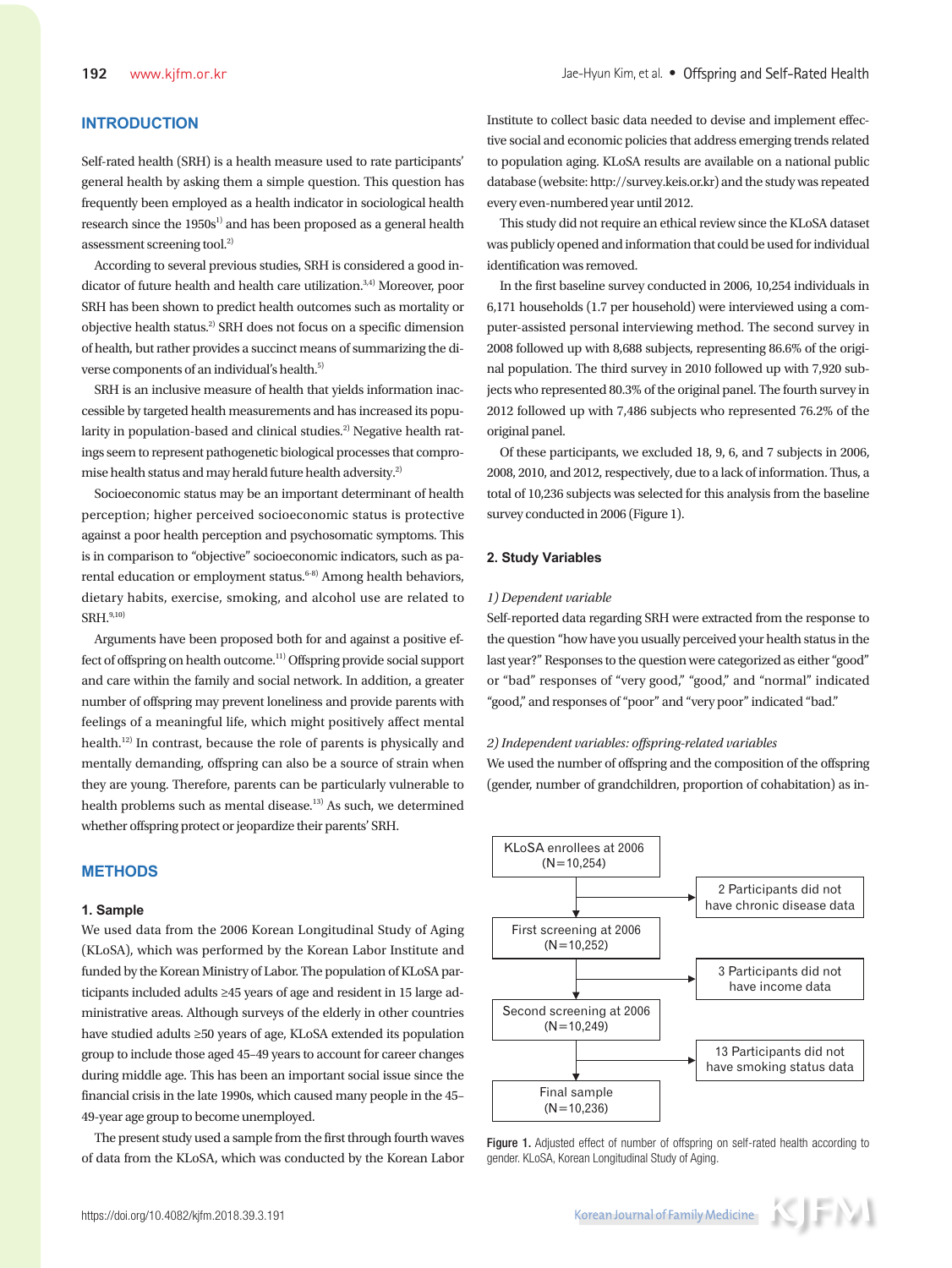# **INTRODUCTION**

Self-rated health (SRH) is a health measure used to rate participants' general health by asking them a simple question. This question has frequently been employed as a health indicator in sociological health research since the  $1950s<sup>1</sup>$  and has been proposed as a general health assessment screening tool.<sup>2)</sup>

According to several previous studies, SRH is considered a good indicator of future health and health care utilization.<sup>3,4)</sup> Moreover, poor SRH has been shown to predict health outcomes such as mortality or objective health status.2) SRH does not focus on a specific dimension of health, but rather provides a succinct means of summarizing the diverse components of an individual's health.<sup>5)</sup>

SRH is an inclusive measure of health that yields information inaccessible by targeted health measurements and has increased its popularity in population-based and clinical studies.<sup>2)</sup> Negative health ratings seem to represent pathogenetic biological processes that compromise health status and may herald future health adversity.2)

Socioeconomic status may be an important determinant of health perception; higher perceived socioeconomic status is protective against a poor health perception and psychosomatic symptoms. This is in comparison to "objective" socioeconomic indicators, such as parental education or employment status.<sup>6-8)</sup> Among health behaviors, dietary habits, exercise, smoking, and alcohol use are related to  $SRH.9,10)$ 

Arguments have been proposed both for and against a positive effect of offspring on health outcome.11) Offspring provide social support and care within the family and social network. In addition, a greater number of offspring may prevent loneliness and provide parents with feelings of a meaningful life, which might positively affect mental health.12) In contrast, because the role of parents is physically and mentally demanding, offspring can also be a source of strain when they are young. Therefore, parents can be particularly vulnerable to health problems such as mental disease.<sup>13)</sup> As such, we determined whether offspring protect or jeopardize their parents' SRH.

## **METHODS**

#### **1. Sample**

We used data from the 2006 Korean Longitudinal Study of Aging (KLoSA), which was performed by the Korean Labor Institute and funded by the Korean Ministry of Labor. The population of KLoSA participants included adults ≥45 years of age and resident in 15 large administrative areas. Although surveys of the elderly in other countries have studied adults ≥50 years of age, KLoSA extended its population group to include those aged 45–49 years to account for career changes during middle age. This has been an important social issue since the financial crisis in the late 1990s, which caused many people in the 45– 49-year age group to become unemployed.

The present study used a sample from the first through fourth waves of data from the KLoSA, which was conducted by the Korean Labor Institute to collect basic data needed to devise and implement effective social and economic policies that address emerging trends related to population aging. KLoSA results are available on a national public database (website: http://survey.keis.or.kr) and the study was repeated every even-numbered year until 2012.

This study did not require an ethical review since the KLoSA dataset was publicly opened and information that could be used for individual identification was removed.

In the first baseline survey conducted in 2006, 10,254 individuals in 6,171 households (1.7 per household) were interviewed using a computer-assisted personal interviewing method. The second survey in 2008 followed up with 8,688 subjects, representing 86.6% of the original population. The third survey in 2010 followed up with 7,920 subjects who represented 80.3% of the original panel. The fourth survey in 2012 followed up with 7,486 subjects who represented 76.2% of the original panel.

Of these participants, we excluded 18, 9, 6, and 7 subjects in 2006, 2008, 2010, and 2012, respectively, due to a lack of information. Thus, a total of 10,236 subjects was selected for this analysis from the baseline survey conducted in 2006 (Figure 1).

## **2. Study Variables**

#### *1) Dependent variable*

Self-reported data regarding SRH were extracted from the response to the question "how have you usually perceived your health status in the last year?" Responses to the question were categorized as either "good" or "bad" responses of "very good," "good," and "normal" indicated "good," and responses of "poor" and "very poor" indicated "bad."

#### *2) Independent variables: offspring-related variables*

We used the number of offspring and the composition of the offspring (gender, number of grandchildren, proportion of cohabitation) as in-



Figure 1. Adjusted effect of number of offspring on self-rated health according to gender. KLoSA, Korean Longitudinal Study of Aging.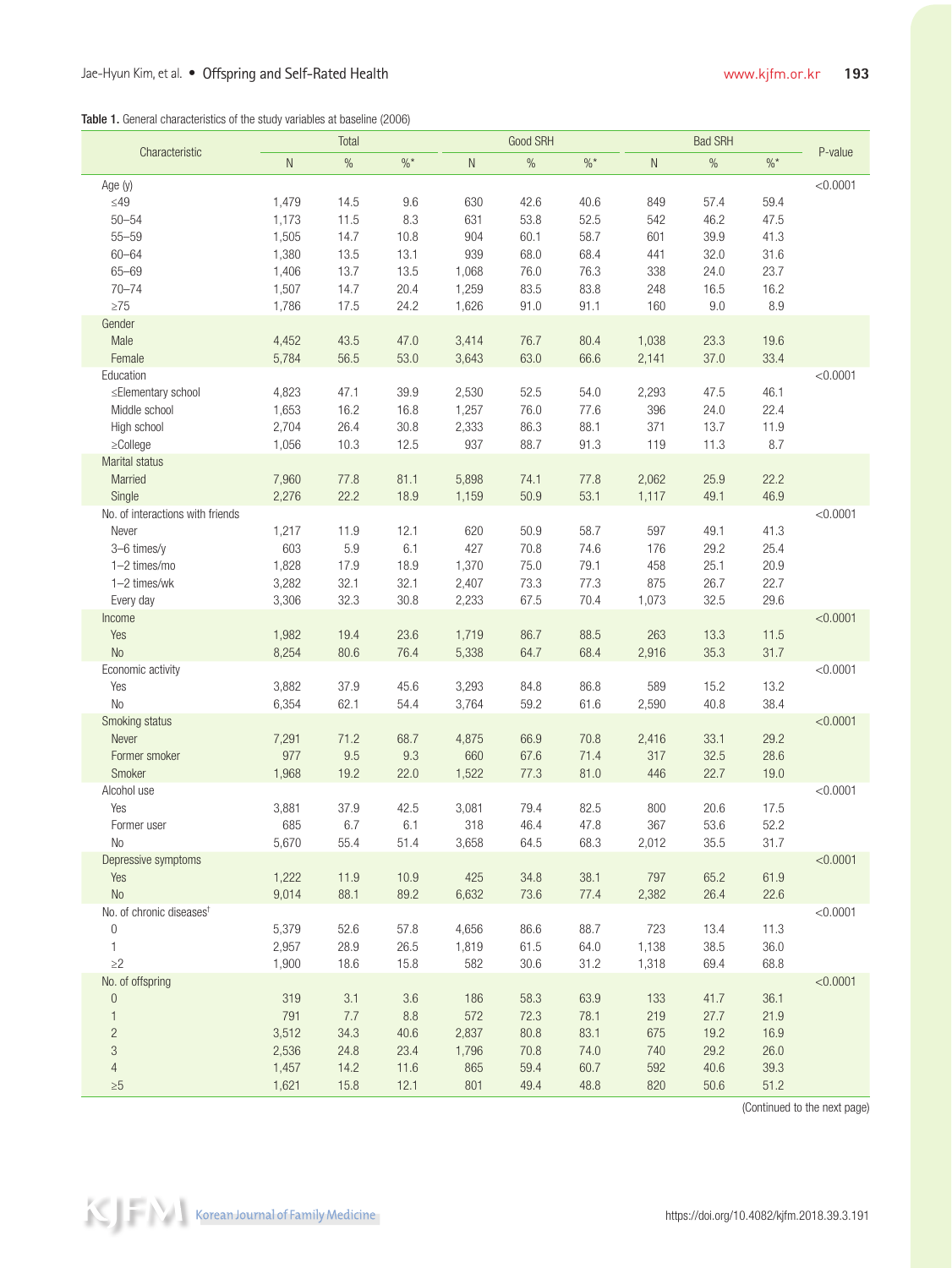| <b>Table 1.</b> General characteristics of the study variables at baseline (2006) |  |  |
|-----------------------------------------------------------------------------------|--|--|

| Characteristic                       |           | Total |          |              | Good SRH |                 |           | <b>Bad SRH</b> |          |          |
|--------------------------------------|-----------|-------|----------|--------------|----------|-----------------|-----------|----------------|----------|----------|
|                                      | ${\sf N}$ | $\%$  | $\%$ $*$ | $\mathsf{N}$ | $\%$     | $\%$ $^{\star}$ | ${\sf N}$ | $\%$           | $\%$ $*$ | P-value  |
| Age (y)                              |           |       |          |              |          |                 |           |                |          | < 0.0001 |
| $\leq$ 49                            | 1,479     | 14.5  | 9.6      | 630          | 42.6     | 40.6            | 849       | 57.4           | 59.4     |          |
| $50 - 54$                            | 1,173     | 11.5  | 8.3      | 631          | 53.8     | 52.5            | 542       | 46.2           | 47.5     |          |
| $55 - 59$                            | 1,505     | 14.7  | 10.8     | 904          | 60.1     | 58.7            | 601       | 39.9           | 41.3     |          |
| $60 - 64$                            | 1,380     | 13.5  | 13.1     | 939          | 68.0     | 68.4            | 441       | 32.0           | 31.6     |          |
| $65 - 69$                            | 1,406     | 13.7  | 13.5     | 1,068        | 76.0     | 76.3            | 338       | 24.0           | 23.7     |          |
| $70 - 74$                            | 1,507     | 14.7  | 20.4     | 1,259        | 83.5     | 83.8            | 248       | 16.5           | 16.2     |          |
| $\geq 75$                            | 1,786     | 17.5  | 24.2     | 1,626        | 91.0     | 91.1            | 160       | 9.0            | 8.9      |          |
| Gender                               |           |       |          |              |          |                 |           |                |          |          |
| Male                                 | 4,452     | 43.5  | 47.0     | 3,414        | 76.7     | 80.4            | 1,038     | 23.3           | 19.6     |          |
| Female                               | 5,784     | 56.5  | 53.0     | 3,643        | 63.0     | 66.6            | 2,141     | 37.0           | 33.4     |          |
| Education                            |           |       |          |              |          |                 |           |                |          | < 0.0001 |
| ≤Elementary school                   | 4,823     | 47.1  | 39.9     | 2,530        | 52.5     | 54.0            | 2,293     | 47.5           | 46.1     |          |
| Middle school                        | 1,653     | 16.2  | 16.8     | 1,257        | 76.0     | 77.6            | 396       | 24.0           | 22.4     |          |
| High school                          | 2,704     | 26.4  | 30.8     | 2,333        | 86.3     | 88.1            | 371       | 13.7           | 11.9     |          |
| $\geq$ College                       | 1,056     | 10.3  | 12.5     | 937          | 88.7     | 91.3            | 119       | 11.3           | 8.7      |          |
| Marital status                       |           |       |          |              |          |                 |           |                |          |          |
| Married                              | 7,960     | 77.8  | 81.1     | 5,898        | 74.1     | 77.8            | 2,062     | 25.9           | 22.2     |          |
| Single                               | 2,276     | 22.2  | 18.9     | 1,159        | 50.9     | 53.1            | 1,117     | 49.1           | 46.9     |          |
| No. of interactions with friends     |           |       |          |              |          |                 |           |                |          | < 0.0001 |
| Never                                | 1,217     | 11.9  | 12.1     | 620          | 50.9     | 58.7            | 597       | 49.1           | 41.3     |          |
| 3-6 times/y                          | 603       | 5.9   | 6.1      | 427          | 70.8     | 74.6            | 176       | 29.2           | 25.4     |          |
| 1-2 times/mo                         | 1,828     | 17.9  | 18.9     | 1,370        | 75.0     | 79.1            | 458       | 25.1           | 20.9     |          |
| 1-2 times/wk                         | 3,282     | 32.1  | 32.1     | 2,407        | 73.3     | 77.3            | 875       | 26.7           | 22.7     |          |
| Every day                            | 3,306     | 32.3  | 30.8     | 2,233        | 67.5     | 70.4            | 1,073     | 32.5           | 29.6     |          |
| Income                               |           |       |          |              |          |                 |           |                |          | < 0.0001 |
| Yes                                  | 1,982     | 19.4  | 23.6     | 1,719        | 86.7     | 88.5            | 263       | 13.3           | 11.5     |          |
| <b>No</b>                            | 8,254     | 80.6  | 76.4     | 5,338        | 64.7     | 68.4            | 2,916     | 35.3           | 31.7     |          |
| Economic activity                    |           |       |          |              |          |                 |           |                |          | < 0.0001 |
| Yes                                  | 3,882     | 37.9  | 45.6     | 3,293        | 84.8     | 86.8            | 589       | 15.2           | 13.2     |          |
| <b>No</b>                            | 6,354     | 62.1  | 54.4     | 3,764        | 59.2     | 61.6            | 2,590     | 40.8           | 38.4     |          |
| Smoking status                       |           |       |          |              |          |                 |           |                |          | < 0.0001 |
| Never                                | 7,291     | 71.2  | 68.7     | 4,875        | 66.9     | 70.8            | 2,416     | 33.1           | 29.2     |          |
| Former smoker                        | 977       | 9.5   | 9.3      | 660          | 67.6     | 71.4            | 317       | 32.5           | 28.6     |          |
| Smoker                               | 1,968     | 19.2  | 22.0     | 1,522        | 77.3     | 81.0            | 446       | 22.7           | 19.0     |          |
| Alcohol use                          |           |       |          |              |          |                 |           |                |          | < 0.0001 |
| Yes                                  | 3,881     | 37.9  | 42.5     | 3,081        | 79.4     | 82.5            | 800       | 20.6           | 17.5     |          |
| Former user                          | 685       | 6.7   | 6.1      | 318          | 46.4     | 47.8            | 367       | 53.6           | 52.2     |          |
| No                                   | 5,670     | 55.4  | 51.4     | 3,658        | 64.5     | 68.3            | 2,012     | 35.5           | 31.7     |          |
| Depressive symptoms                  |           |       |          |              |          |                 |           |                |          | < 0.0001 |
| Yes                                  | 1,222     | 11.9  | 10.9     | 425          | 34.8     | 38.1            | 797       | 65.2           | 61.9     |          |
| <b>No</b>                            | 9,014     | 88.1  | 89.2     | 6,632        | 73.6     | 77.4            | 2,382     | 26.4           | 22.6     |          |
| No. of chronic diseases <sup>t</sup> |           |       |          |              |          |                 |           |                |          | < 0.0001 |
| $\mathbf{0}$                         | 5,379     | 52.6  | 57.8     | 4,656        | 86.6     | 88.7            | 723       | 13.4           | 11.3     |          |
| $\mathbf{1}$                         | 2,957     | 28.9  | 26.5     | 1,819        | 61.5     | 64.0            | 1,138     | 38.5           | 36.0     |          |
| $\geq$ 2                             | 1,900     | 18.6  | 15.8     | 582          | 30.6     | 31.2            | 1,318     | 69.4           | 68.8     |          |
| No. of offspring                     |           |       |          |              |          |                 |           |                |          | < 0.0001 |
| $\mathbf 0$                          | 319       | 3.1   | $3.6\,$  | 186          | 58.3     | 63.9            | 133       | 41.7           | 36.1     |          |
| $\mathbf{1}$                         | 791       | 7.7   | $8.8\,$  | 572          | 72.3     | 78.1            | 219       | 27.7           | 21.9     |          |
| $\overline{c}$                       | 3,512     | 34.3  | 40.6     | 2,837        | 80.8     | 83.1            | 675       | 19.2           | 16.9     |          |
| 3                                    | 2,536     | 24.8  | 23.4     | 1,796        | 70.8     | 74.0            | 740       | 29.2           | 26.0     |          |
| $\overline{4}$                       | 1,457     | 14.2  | 11.6     | 865          | 59.4     | 60.7            | 592       | 40.6           | 39.3     |          |
| $\geq 5$                             | 1,621     | 15.8  | 12.1     | 801          | 49.4     | 48.8            | 820       | 50.6           | 51.2     |          |

(Continued to the next page)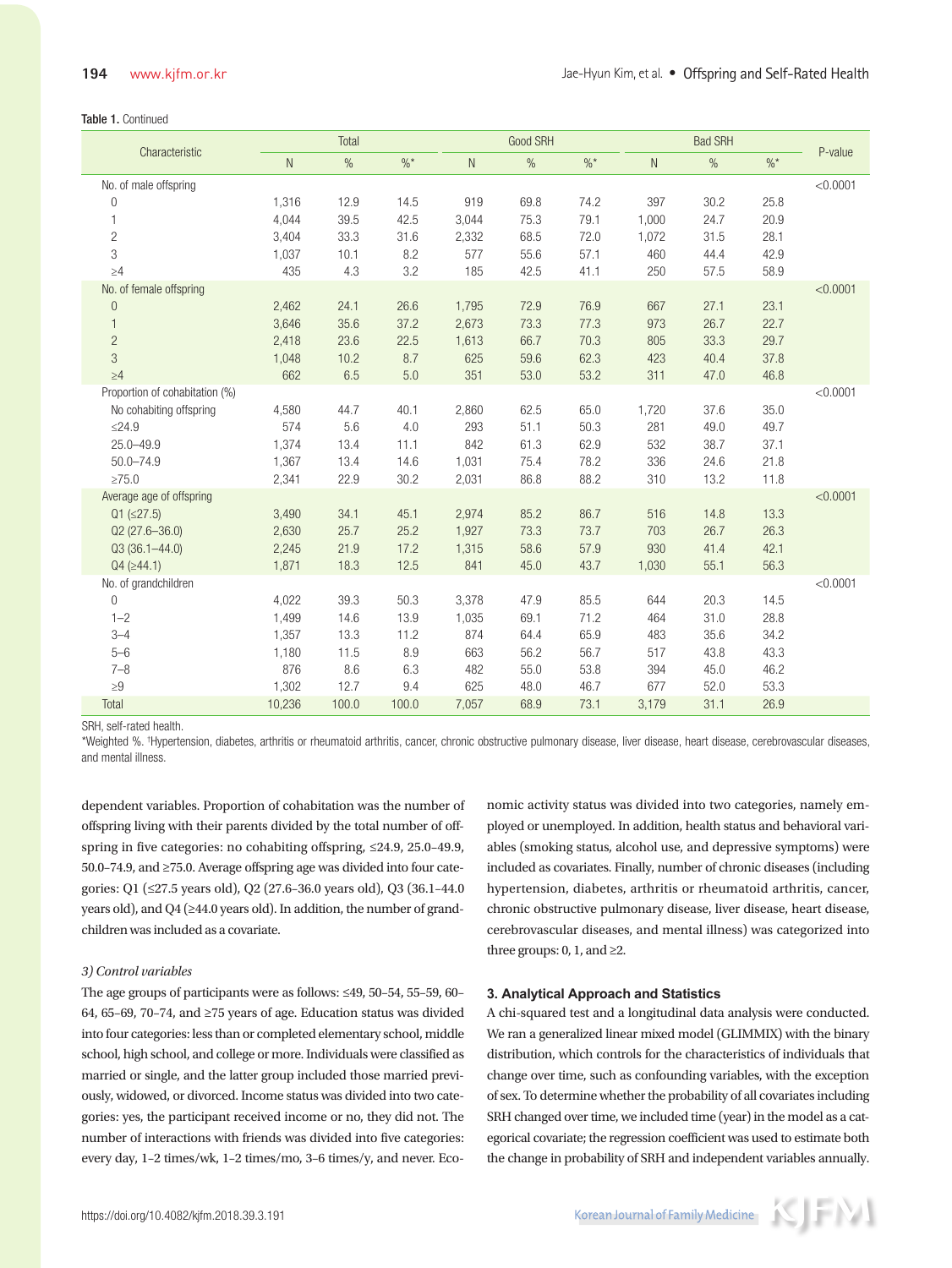#### Table 1. Continued

| Characteristic                                  | Total     |       |                 |       | Good SRH      |                 | <b>Bad SRH</b> |      |        | P-value  |
|-------------------------------------------------|-----------|-------|-----------------|-------|---------------|-----------------|----------------|------|--------|----------|
|                                                 | ${\sf N}$ | $\%$  | $\frac{0}{6}$ * | N.    | $\frac{0}{0}$ | $\frac{0}{6}$ * | $\mathsf{N}$   | $\%$ | $\%$ * |          |
| No. of male offspring                           |           |       |                 |       |               |                 |                |      |        | < 0.0001 |
| $\mathbf 0$                                     | 1,316     | 12.9  | 14.5            | 919   | 69.8          | 74.2            | 397            | 30.2 | 25.8   |          |
| 1                                               | 4,044     | 39.5  | 42.5            | 3,044 | 75.3          | 79.1            | 1,000          | 24.7 | 20.9   |          |
| $\mathbf{2}$                                    | 3,404     | 33.3  | 31.6            | 2,332 | 68.5          | 72.0            | 1,072          | 31.5 | 28.1   |          |
| 3                                               | 1,037     | 10.1  | 8.2             | 577   | 55.6          | 57.1            | 460            | 44.4 | 42.9   |          |
| $\geq 4$                                        | 435       | 4.3   | 3.2             | 185   | 42.5          | 41.1            | 250            | 57.5 | 58.9   |          |
| No. of female offspring                         |           |       |                 |       |               |                 |                |      |        | < 0.0001 |
| $\theta$                                        | 2,462     | 24.1  | 26.6            | 1,795 | 72.9          | 76.9            | 667            | 27.1 | 23.1   |          |
| $\mathbf{1}$                                    | 3,646     | 35.6  | 37.2            | 2,673 | 73.3          | 77.3            | 973            | 26.7 | 22.7   |          |
| $\overline{c}$                                  | 2,418     | 23.6  | 22.5            | 1,613 | 66.7          | 70.3            | 805            | 33.3 | 29.7   |          |
| 3                                               | 1,048     | 10.2  | 8.7             | 625   | 59.6          | 62.3            | 423            | 40.4 | 37.8   |          |
| $\geq 4$                                        | 662       | 6.5   | 5.0             | 351   | 53.0          | 53.2            | 311            | 47.0 | 46.8   |          |
| Proportion of cohabitation (%)                  |           |       |                 |       |               |                 |                |      |        | < 0.0001 |
| No cohabiting offspring                         | 4,580     | 44.7  | 40.1            | 2,860 | 62.5          | 65.0            | 1,720          | 37.6 | 35.0   |          |
| $≤24.9$                                         | 574       | 5.6   | 4.0             | 293   | 51.1          | 50.3            | 281            | 49.0 | 49.7   |          |
| $25.0 - 49.9$                                   | 1,374     | 13.4  | 11.1            | 842   | 61.3          | 62.9            | 532            | 38.7 | 37.1   |          |
| $50.0 - 74.9$<br>$\geq 75.0$                    | 1,367     | 13.4  | 14.6            | 1,031 | 75.4          | 78.2            | 336            | 24.6 | 21.8   |          |
|                                                 | 2,341     | 22.9  | 30.2            | 2,031 | 86.8          | 88.2            | 310            | 13.2 | 11.8   | < 0.0001 |
| Average age of offspring<br>$Q1$ ( $\leq$ 27.5) | 3,490     | 34.1  | 45.1            | 2,974 | 85.2          | 86.7            | 516            | 14.8 | 13.3   |          |
| $Q2(27.6 - 36.0)$                               | 2,630     | 25.7  | 25.2            | 1,927 | 73.3          | 73.7            | 703            | 26.7 | 26.3   |          |
| $Q3(36.1 - 44.0)$                               | 2,245     | 21.9  | 17.2            | 1,315 | 58.6          | 57.9            | 930            | 41.4 | 42.1   |          |
| $Q4$ ( $\geq$ 44.1)                             | 1,871     | 18.3  | 12.5            | 841   | 45.0          | 43.7            | 1,030          | 55.1 | 56.3   |          |
| No. of grandchildren                            |           |       |                 |       |               |                 |                |      |        | < 0.0001 |
| $\overline{0}$                                  | 4,022     | 39.3  | 50.3            | 3,378 | 47.9          | 85.5            | 644            | 20.3 | 14.5   |          |
| $1 - 2$                                         | 1,499     | 14.6  | 13.9            | 1,035 | 69.1          | 71.2            | 464            | 31.0 | 28.8   |          |
| $3 - 4$                                         | 1,357     | 13.3  | 11.2            | 874   | 64.4          | 65.9            | 483            | 35.6 | 34.2   |          |
| $5 - 6$                                         | 1,180     | 11.5  | 8.9             | 663   | 56.2          | 56.7            | 517            | 43.8 | 43.3   |          |
| $7 - 8$                                         | 876       | 8.6   | 6.3             | 482   | 55.0          | 53.8            | 394            | 45.0 | 46.2   |          |
| ${\geq}9$                                       | 1,302     | 12.7  | 9.4             | 625   | 48.0          | 46.7            | 677            | 52.0 | 53.3   |          |
| Total                                           | 10,236    | 100.0 | 100.0           | 7,057 | 68.9          | 73.1            | 3,179          | 31.1 | 26.9   |          |

SRH, self-rated health.

\*Weighted %. † Hypertension, diabetes, arthritis or rheumatoid arthritis, cancer, chronic obstructive pulmonary disease, liver disease, heart disease, cerebrovascular diseases, and mental illness.

dependent variables. Proportion of cohabitation was the number of offspring living with their parents divided by the total number of offspring in five categories: no cohabiting offspring, ≤24.9, 25.0–49.9, 50.0–74.9, and ≥75.0. Average offspring age was divided into four categories: Q1 (≤27.5 years old), Q2 (27.6–36.0 years old), Q3 (36.1–44.0 years old), and Q4 (≥44.0 years old). In addition, the number of grandchildren was included as a covariate.

#### *3) Control variables*

The age groups of participants were as follows: ≤49, 50–54, 55–59, 60– 64, 65–69, 70–74, and ≥75 years of age. Education status was divided into four categories: less than or completed elementary school, middle school, high school, and college or more. Individuals were classified as married or single, and the latter group included those married previously, widowed, or divorced. Income status was divided into two categories: yes, the participant received income or no, they did not. The number of interactions with friends was divided into five categories: every day, 1–2 times/wk, 1–2 times/mo, 3–6 times/y, and never. Eco-

nomic activity status was divided into two categories, namely employed or unemployed. In addition, health status and behavioral variables (smoking status, alcohol use, and depressive symptoms) were included as covariates. Finally, number of chronic diseases (including hypertension, diabetes, arthritis or rheumatoid arthritis, cancer, chronic obstructive pulmonary disease, liver disease, heart disease, cerebrovascular diseases, and mental illness) was categorized into three groups:  $0, 1$ , and  $\geq 2$ .

### **3. Analytical Approach and Statistics**

A chi-squared test and a longitudinal data analysis were conducted. We ran a generalized linear mixed model (GLIMMIX) with the binary distribution, which controls for the characteristics of individuals that change over time, such as confounding variables, with the exception of sex. To determine whether the probability of all covariates including SRH changed over time, we included time (year) in the model as a categorical covariate; the regression coefficient was used to estimate both the change in probability of SRH and independent variables annually.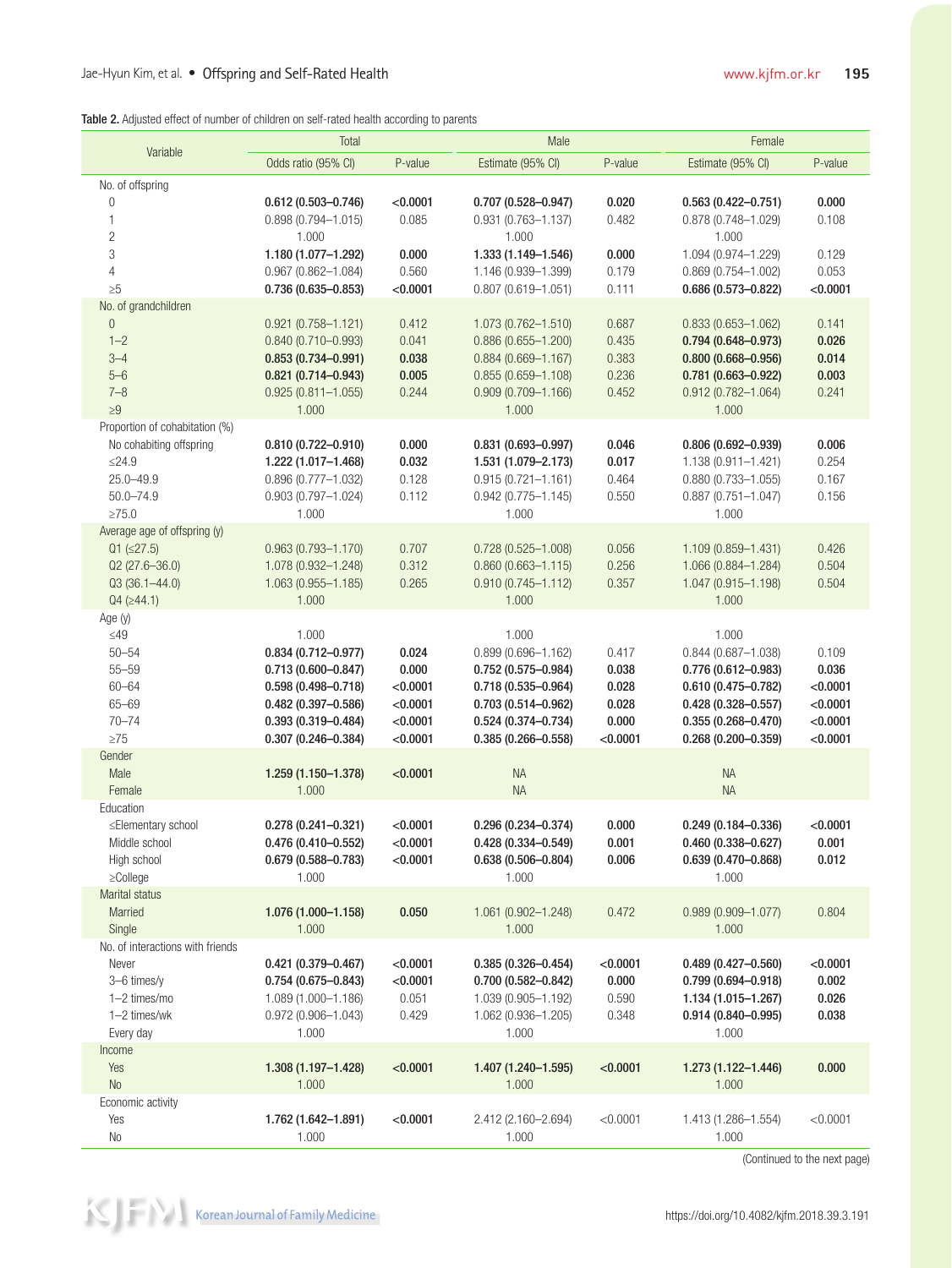|  |  |  |  |  | Table 2. Adjusted effect of number of children on self-rated health according to parents |  |
|--|--|--|--|--|------------------------------------------------------------------------------------------|--|
|  |  |  |  |  |                                                                                          |  |

|                                  | Total                                            |                | Male                                          |                | Female                                           |                |  |
|----------------------------------|--------------------------------------------------|----------------|-----------------------------------------------|----------------|--------------------------------------------------|----------------|--|
| Variable                         | Odds ratio (95% CI)                              | P-value        | Estimate (95% CI)                             | P-value        | Estimate (95% CI)                                | P-value        |  |
| No. of offspring                 |                                                  |                |                                               |                |                                                  |                |  |
| 0                                | $0.612(0.503 - 0.746)$                           | < 0.0001       | $0.707(0.528 - 0.947)$                        | 0.020          | $0.563(0.422 - 0.751)$                           | 0.000          |  |
| 1                                | $0.898(0.794 - 1.015)$                           | 0.085          | $0.931(0.763 - 1.137)$                        | 0.482          | $0.878(0.748 - 1.029)$                           | 0.108          |  |
| $\overline{2}$                   | 1.000                                            |                | 1.000                                         |                | 1.000                                            |                |  |
| 3                                | 1.180 (1.077-1.292)                              | 0.000          | 1.333 (1.149-1.546)                           | 0.000          | 1.094 (0.974-1.229)                              | 0.129          |  |
| $\overline{4}$                   | $0.967(0.862 - 1.084)$                           | 0.560          | 1.146 (0.939-1.399)                           | 0.179          | $0.869(0.754 - 1.002)$                           | 0.053          |  |
| $\geq 5$                         | $0.736(0.635 - 0.853)$                           | < 0.0001       | $0.807(0.619 - 1.051)$                        | 0.111          | $0.686(0.573 - 0.822)$                           | < 0.0001       |  |
| No. of grandchildren             |                                                  |                |                                               |                |                                                  |                |  |
| $\theta$<br>$1 - 2$              | $0.921(0.758 - 1.121)$<br>$0.840(0.710 - 0.993)$ | 0.412<br>0.041 | 1.073 (0.762-1.510)<br>$0.886(0.655 - 1.200)$ | 0.687<br>0.435 | $0.833(0.653 - 1.062)$                           | 0.141<br>0.026 |  |
| $3 - 4$                          | $0.853(0.734 - 0.991)$                           | 0.038          | $0.884(0.669 - 1.167)$                        | 0.383          | $0.794(0.648 - 0.973)$<br>$0.800(0.668 - 0.956)$ | 0.014          |  |
| $5 - 6$                          | $0.821(0.714 - 0.943)$                           | 0.005          | $0.855(0.659 - 1.108)$                        | 0.236          | $0.781(0.663 - 0.922)$                           | 0.003          |  |
| $7 - 8$                          | $0.925(0.811 - 1.055)$                           | 0.244          | $0.909(0.709 - 1.166)$                        | 0.452          | $0.912(0.782 - 1.064)$                           | 0.241          |  |
| $\geq 9$                         | 1.000                                            |                | 1.000                                         |                | 1.000                                            |                |  |
| Proportion of cohabitation (%)   |                                                  |                |                                               |                |                                                  |                |  |
| No cohabiting offspring          | $0.810(0.722 - 0.910)$                           | 0.000          | $0.831(0.693 - 0.997)$                        | 0.046          | $0.806(0.692 - 0.939)$                           | 0.006          |  |
| $\leq$ 24.9                      | 1.222 (1.017-1.468)                              | 0.032          | 1.531 (1.079-2.173)                           | 0.017          | 1.138 (0.911-1.421)                              | 0.254          |  |
| $25.0 - 49.9$                    | $0.896(0.777 - 1.032)$                           | 0.128          | $0.915(0.721 - 1.161)$                        | 0.464          | $0.880(0.733 - 1.055)$                           | 0.167          |  |
| $50.0 - 74.9$                    | $0.903(0.797 - 1.024)$                           | 0.112          | $0.942(0.775 - 1.145)$                        | 0.550          | $0.887(0.751 - 1.047)$                           | 0.156          |  |
| $\geq 75.0$                      | 1.000                                            |                | 1.000                                         |                | 1.000                                            |                |  |
| Average age of offspring (y)     |                                                  |                |                                               |                |                                                  |                |  |
| $Q1 (\leq 27.5)$                 | $0.963(0.793 - 1.170)$                           | 0.707          | $0.728(0.525 - 1.008)$                        | 0.056          | 1.109 (0.859-1.431)                              | 0.426          |  |
| $Q2(27.6 - 36.0)$                | 1.078 (0.932-1.248)                              | 0.312          | $0.860(0.663 - 1.115)$                        | 0.256          | 1.066 (0.884-1.284)                              | 0.504          |  |
| $Q3(36.1 - 44.0)$                | $1.063(0.955 - 1.185)$                           | 0.265          | $0.910(0.745 - 1.112)$                        | 0.357          | 1.047 (0.915-1.198)                              | 0.504          |  |
| $Q4$ ( $\geq$ 44.1)              | 1.000                                            |                | 1.000                                         |                | 1.000                                            |                |  |
| Age (y)                          |                                                  |                |                                               |                |                                                  |                |  |
| $\leq49$<br>$50 - 54$            | 1.000                                            | 0.024          | 1.000<br>$0.899(0.696 - 1.162)$               | 0.417          | 1.000<br>$0.844(0.687 - 1.038)$                  | 0.109          |  |
| $55 - 59$                        | $0.834(0.712 - 0.977)$<br>$0.713(0.600 - 0.847)$ | 0.000          | $0.752(0.575 - 0.984)$                        | 0.038          | $0.776(0.612 - 0.983)$                           | 0.036          |  |
| $60 - 64$                        | $0.598(0.498 - 0.718)$                           | < 0.0001       | $0.718(0.535 - 0.964)$                        | 0.028          | $0.610(0.475 - 0.782)$                           | < 0.0001       |  |
| $65 - 69$                        | $0.482(0.397 - 0.586)$                           | < 0.0001       | $0.703(0.514 - 0.962)$                        | 0.028          | $0.428(0.328 - 0.557)$                           | < 0.0001       |  |
| $70 - 74$                        | $0.393(0.319 - 0.484)$                           | < 0.0001       | $0.524(0.374 - 0.734)$                        | 0.000          | $0.355(0.268 - 0.470)$                           | < 0.0001       |  |
| $\geq 75$                        | $0.307(0.246 - 0.384)$                           | < 0.0001       | $0.385(0.266 - 0.558)$                        | < 0.0001       | $0.268(0.200 - 0.359)$                           | < 0.0001       |  |
| Gender                           |                                                  |                |                                               |                |                                                  |                |  |
| Male                             | 1.259 (1.150-1.378)                              | < 0.0001       | <b>NA</b>                                     |                | <b>NA</b>                                        |                |  |
| Female                           | 1.000                                            |                | <b>NA</b>                                     |                | <b>NA</b>                                        |                |  |
| Education                        |                                                  |                |                                               |                |                                                  |                |  |
| ≤Elementary school               | $0.278(0.241 - 0.321)$                           | < 0.0001       | $0.296(0.234 - 0.374)$                        | 0.000          | $0.249(0.184 - 0.336)$                           | < 0.0001       |  |
| Middle school                    | $0.476(0.410 - 0.552)$                           | < 0.0001       | $0.428(0.334 - 0.549)$                        | 0.001          | $0.460(0.338 - 0.627)$                           | 0.001          |  |
| High school                      | $0.679(0.588 - 0.783)$                           | < 0.0001       | $0.638(0.506 - 0.804)$                        | 0.006          | $0.639(0.470 - 0.868)$                           | 0.012          |  |
| $\geq$ College                   | 1.000                                            |                | 1.000                                         |                | 1.000                                            |                |  |
| Marital status                   |                                                  |                |                                               |                |                                                  |                |  |
| Married<br>Single                | 1.076 (1.000-1.158)<br>1.000                     | 0.050          | 1.061 (0.902-1.248)<br>1.000                  | 0.472          | $0.989(0.909 - 1.077)$<br>1.000                  | 0.804          |  |
| No. of interactions with friends |                                                  |                |                                               |                |                                                  |                |  |
| Never                            | $0.421(0.379 - 0.467)$                           | < 0.0001       | $0.385(0.326 - 0.454)$                        | < 0.0001       | $0.489(0.427 - 0.560)$                           | < 0.0001       |  |
| 3-6 times/y                      | $0.754(0.675 - 0.843)$                           | < 0.0001       | $0.700(0.582 - 0.842)$                        | 0.000          | $0.799(0.694 - 0.918)$                           | 0.002          |  |
| 1-2 times/mo                     | 1.089 (1.000-1.186)                              | 0.051          | 1.039 (0.905-1.192)                           | 0.590          | 1.134 (1.015-1.267)                              | 0.026          |  |
| 1-2 times/wk                     | $0.972(0.906 - 1.043)$                           | 0.429          | 1.062 (0.936-1.205)                           | 0.348          | $0.914(0.840 - 0.995)$                           | 0.038          |  |
| Every day                        | 1.000                                            |                | 1.000                                         |                | 1.000                                            |                |  |
| Income                           |                                                  |                |                                               |                |                                                  |                |  |
| Yes                              | 1.308 (1.197-1.428)                              | < 0.0001       | 1.407 (1.240-1.595)                           | < 0.0001       | 1.273 (1.122-1.446)                              | 0.000          |  |
| <b>No</b>                        | 1.000                                            |                | 1.000                                         |                | 1.000                                            |                |  |
| Economic activity                |                                                  |                |                                               |                |                                                  |                |  |
| Yes                              | 1.762 (1.642-1.891)                              | < 0.0001       | 2.412 (2.160-2.694)                           | < 0.0001       | 1.413 (1.286-1.554)                              | < 0.0001       |  |
| No                               | 1.000                                            |                | 1.000                                         |                | 1.000                                            |                |  |

(Continued to the next page)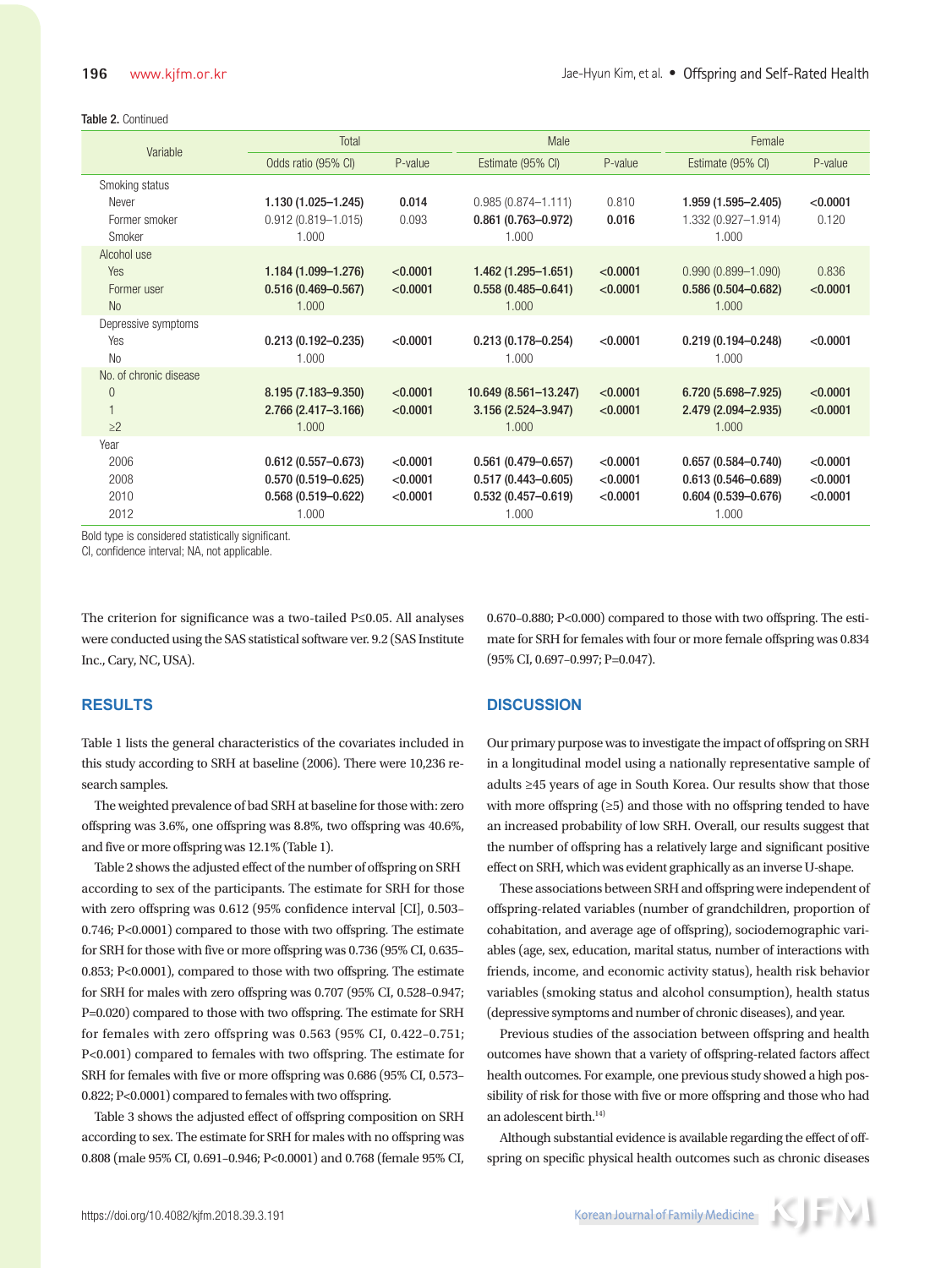#### Table 2. Continued

| Variable               | Total                  |          | Male                   |          | Female                 |          |
|------------------------|------------------------|----------|------------------------|----------|------------------------|----------|
|                        | Odds ratio (95% CI)    | P-value  | Estimate (95% CI)      | P-value  | Estimate (95% CI)      | P-value  |
| Smoking status         |                        |          |                        |          |                        |          |
| Never                  | $1.130(1.025 - 1.245)$ | 0.014    | $0.985(0.874 - 1.111)$ | 0.810    | 1.959 (1.595-2.405)    | < 0.0001 |
| Former smoker          | $0.912(0.819 - 1.015)$ | 0.093    | $0.861(0.763 - 0.972)$ | 0.016    | 1.332 (0.927-1.914)    | 0.120    |
| Smoker                 | 1.000                  |          | 1.000                  |          | 1.000                  |          |
| Alcohol use            |                        |          |                        |          |                        |          |
| Yes                    | 1.184 (1.099-1.276)    | < 0.0001 | $1.462(1.295 - 1.651)$ | < 0.0001 | $0.990(0.899 - 1.090)$ | 0.836    |
| Former user            | $0.516(0.469 - 0.567)$ | < 0.0001 | $0.558(0.485 - 0.641)$ | < 0.0001 | $0.586(0.504 - 0.682)$ | < 0.0001 |
| N <sub>o</sub>         | 1.000                  |          | 1.000                  |          | 1.000                  |          |
| Depressive symptoms    |                        |          |                        |          |                        |          |
| Yes                    | $0.213(0.192 - 0.235)$ | < 0.0001 | $0.213(0.178 - 0.254)$ | < 0.0001 | $0.219(0.194 - 0.248)$ | < 0.0001 |
| <b>No</b>              | 1.000                  |          | 1.000                  |          | 1.000                  |          |
| No. of chronic disease |                        |          |                        |          |                        |          |
| $\theta$               | 8.195 (7.183-9.350)    | < 0.0001 | 10.649 (8.561-13.247)  | < 0.0001 | 6.720 (5.698-7.925)    | < 0.0001 |
| $\mathbf{1}$           | 2.766 (2.417-3.166)    | < 0.0001 | 3.156 (2.524-3.947)    | < 0.0001 | 2.479 (2.094-2.935)    | < 0.0001 |
| $\geq$ 2               | 1.000                  |          | 1.000                  |          | 1.000                  |          |
| Year                   |                        |          |                        |          |                        |          |
| 2006                   | $0.612(0.557 - 0.673)$ | < 0.0001 | $0.561(0.479 - 0.657)$ | < 0.0001 | $0.657(0.584 - 0.740)$ | < 0.0001 |
| 2008                   | $0.570(0.519 - 0.625)$ | < 0.0001 | $0.517(0.443 - 0.605)$ | < 0.0001 | $0.613(0.546 - 0.689)$ | < 0.0001 |
| 2010                   | $0.568(0.519 - 0.622)$ | < 0.0001 | $0.532(0.457 - 0.619)$ | < 0.0001 | $0.604(0.539 - 0.676)$ | < 0.0001 |
| 2012                   | 1.000                  |          | 1.000                  |          | 1.000                  |          |

Bold type is considered statistically significant.

CI, confidence interval; NA, not applicable.

The criterion for significance was a two-tailed P≤0.05. All analyses were conducted using the SAS statistical software ver. 9.2 (SAS Institute Inc., Cary, NC, USA).

#### **RESULTS**

Table 1 lists the general characteristics of the covariates included in this study according to SRH at baseline (2006). There were 10,236 research samples.

The weighted prevalence of bad SRH at baseline for those with: zero offspring was 3.6%, one offspring was 8.8%, two offspring was 40.6%, and five or more offspring was 12.1% (Table 1).

Table 2 shows the adjusted effect of the number of offspring on SRH according to sex of the participants. The estimate for SRH for those with zero offspring was 0.612 (95% confidence interval [CI], 0.503– 0.746; P<0.0001) compared to those with two offspring. The estimate for SRH for those with five or more offspring was 0.736 (95% CI, 0.635– 0.853; P<0.0001), compared to those with two offspring. The estimate for SRH for males with zero offspring was 0.707 (95% CI, 0.528–0.947; P=0.020) compared to those with two offspring. The estimate for SRH for females with zero offspring was 0.563 (95% CI, 0.422–0.751; P<0.001) compared to females with two offspring. The estimate for SRH for females with five or more offspring was 0.686 (95% CI, 0.573– 0.822; P<0.0001) compared to females with two offspring.

Table 3 shows the adjusted effect of offspring composition on SRH according to sex. The estimate for SRH for males with no offspring was 0.808 (male 95% CI, 0.691–0.946; P<0.0001) and 0.768 (female 95% CI, 0.670–0.880; P<0.000) compared to those with two offspring. The estimate for SRH for females with four or more female offspring was 0.834 (95% CI, 0.697–0.997; P=0.047).

## **DISCUSSION**

Our primary purpose was to investigate the impact of offspring on SRH in a longitudinal model using a nationally representative sample of adults ≥45 years of age in South Korea. Our results show that those with more offspring  $(≥5)$  and those with no offspring tended to have an increased probability of low SRH. Overall, our results suggest that the number of offspring has a relatively large and significant positive effect on SRH, which was evident graphically as an inverse U-shape.

These associations between SRH and offspring were independent of offspring-related variables (number of grandchildren, proportion of cohabitation, and average age of offspring), sociodemographic variables (age, sex, education, marital status, number of interactions with friends, income, and economic activity status), health risk behavior variables (smoking status and alcohol consumption), health status (depressive symptoms and number of chronic diseases), and year.

Previous studies of the association between offspring and health outcomes have shown that a variety of offspring-related factors affect health outcomes. For example, one previous study showed a high possibility of risk for those with five or more offspring and those who had an adolescent birth.<sup>14)</sup>

Although substantial evidence is available regarding the effect of offspring on specific physical health outcomes such as chronic diseases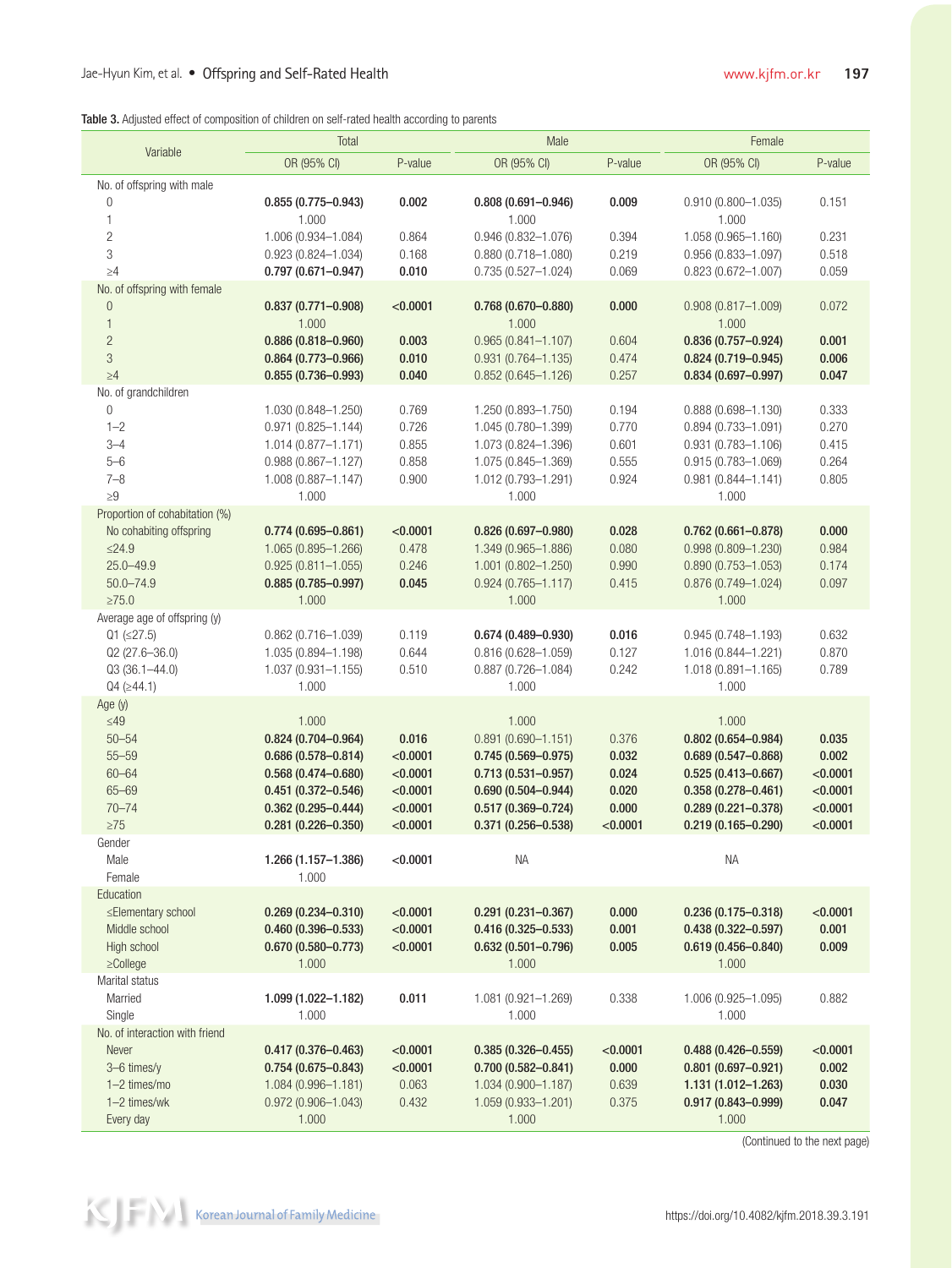|  |  | <b>Table 3.</b> Adjusted effect of composition of children on self-rated health according to parents |  |  |  |  |
|--|--|------------------------------------------------------------------------------------------------------|--|--|--|--|
|  |  |                                                                                                      |  |  |  |  |

|                                             | Total                                            |                      | Male                                             |                | Female                                           |                   |  |
|---------------------------------------------|--------------------------------------------------|----------------------|--------------------------------------------------|----------------|--------------------------------------------------|-------------------|--|
| Variable                                    | OR (95% CI)                                      | P-value              | OR (95% CI)                                      | P-value        | OR (95% CI)                                      | P-value           |  |
| No. of offspring with male                  |                                                  |                      |                                                  |                |                                                  |                   |  |
| $\mathbf{0}$                                | $0.855(0.775 - 0.943)$                           | 0.002                | $0.808(0.691 - 0.946)$                           | 0.009          | $0.910(0.800 - 1.035)$                           | 0.151             |  |
| 1                                           | 1.000                                            |                      | 1.000                                            |                | 1.000                                            |                   |  |
| $\overline{c}$                              | 1.006 (0.934-1.084)                              | 0.864                | $0.946(0.832 - 1.076)$                           | 0.394          | 1.058 (0.965-1.160)                              | 0.231             |  |
| 3<br>$\geq 4$                               | $0.923(0.824 - 1.034)$                           | 0.168<br>0.010       | $0.880(0.718 - 1.080)$<br>$0.735(0.527 - 1.024)$ | 0.219<br>0.069 | $0.956(0.833 - 1.097)$<br>$0.823(0.672 - 1.007)$ | 0.518<br>0.059    |  |
| No. of offspring with female                | $0.797(0.671 - 0.947)$                           |                      |                                                  |                |                                                  |                   |  |
| $\theta$                                    | $0.837(0.771 - 0.908)$                           | < 0.0001             | $0.768(0.670 - 0.880)$                           | 0.000          | $0.908(0.817 - 1.009)$                           | 0.072             |  |
| $\mathbf{1}$                                | 1.000                                            |                      | 1.000                                            |                | 1.000                                            |                   |  |
| $\overline{c}$                              | $0.886(0.818 - 0.960)$                           | 0.003                | $0.965(0.841 - 1.107)$                           | 0.604          | $0.836(0.757 - 0.924)$                           | 0.001             |  |
| 3                                           | $0.864(0.773 - 0.966)$                           | 0.010                | $0.931(0.764 - 1.135)$                           | 0.474          | $0.824(0.719 - 0.945)$                           | 0.006             |  |
| $\geq 4$                                    | $0.855(0.736 - 0.993)$                           | 0.040                | $0.852(0.645 - 1.126)$                           | 0.257          | $0.834(0.697 - 0.997)$                           | 0.047             |  |
| No. of grandchildren                        |                                                  |                      |                                                  |                |                                                  |                   |  |
| $\mathbf{0}$                                | 1.030 (0.848-1.250)                              | 0.769                | 1.250 (0.893-1.750)                              | 0.194          | $0.888(0.698 - 1.130)$                           | 0.333             |  |
| $1 - 2$<br>$3 - 4$                          | $0.971(0.825 - 1.144)$<br>1.014 (0.877-1.171)    | 0.726<br>0.855       | 1.045 (0.780-1.399)<br>1.073 (0.824-1.396)       | 0.770<br>0.601 | $0.894(0.733 - 1.091)$<br>$0.931(0.783 - 1.106)$ | 0.270<br>0.415    |  |
| $5 - 6$                                     | $0.988(0.867 - 1.127)$                           | 0.858                | 1.075 (0.845-1.369)                              | 0.555          | $0.915(0.783 - 1.069)$                           | 0.264             |  |
| $7 - 8$                                     | 1.008 (0.887-1.147)                              | 0.900                | 1.012 (0.793-1.291)                              | 0.924          | $0.981(0.844 - 1.141)$                           | 0.805             |  |
| $\geq 9$                                    | 1.000                                            |                      | 1.000                                            |                | 1.000                                            |                   |  |
| Proportion of cohabitation (%)              |                                                  |                      |                                                  |                |                                                  |                   |  |
| No cohabiting offspring                     | $0.774(0.695 - 0.861)$                           | < 0.0001             | $0.826(0.697 - 0.980)$                           | 0.028          | $0.762(0.661 - 0.878)$                           | 0.000             |  |
| $≤24.9$                                     | 1.065 (0.895-1.266)                              | 0.478                | 1.349 (0.965-1.886)                              | 0.080          | $0.998(0.809 - 1.230)$                           | 0.984             |  |
| $25.0 - 49.9$                               | $0.925(0.811 - 1.055)$                           | 0.246                | $1.001(0.802 - 1.250)$                           | 0.990          | $0.890(0.753 - 1.053)$                           | 0.174             |  |
| $50.0 - 74.9$                               | $0.885(0.785 - 0.997)$                           | 0.045                | $0.924(0.765 - 1.117)$                           | 0.415          | $0.876(0.749 - 1.024)$                           | 0.097             |  |
| $\geq 75.0$<br>Average age of offspring (y) | 1.000                                            |                      | 1.000                                            |                | 1.000                                            |                   |  |
| $Q1 (\leq 27.5)$                            | $0.862(0.716 - 1.039)$                           | 0.119                | $0.674(0.489 - 0.930)$                           | 0.016          | $0.945(0.748 - 1.193)$                           | 0.632             |  |
| $Q2(27.6 - 36.0)$                           | 1.035 (0.894-1.198)                              | 0.644                | $0.816(0.628 - 1.059)$                           | 0.127          | 1.016 (0.844-1.221)                              | 0.870             |  |
| $Q3(36.1 - 44.0)$                           | 1.037 (0.931-1.155)                              | 0.510                | $0.887(0.726 - 1.084)$                           | 0.242          | 1.018 (0.891-1.165)                              | 0.789             |  |
| $Q4$ ( $\geq$ 44.1)                         | 1.000                                            |                      | 1.000                                            |                | 1.000                                            |                   |  |
| Age $(y)$                                   |                                                  |                      |                                                  |                |                                                  |                   |  |
| $≤49$                                       | 1.000                                            |                      | 1.000                                            |                | 1.000                                            |                   |  |
| $50 - 54$                                   | $0.824(0.704 - 0.964)$                           | 0.016                | $0.891(0.690 - 1.151)$                           | 0.376          | $0.802(0.654 - 0.984)$                           | 0.035             |  |
| $55 - 59$<br>$60 - 64$                      | $0.686(0.578 - 0.814)$<br>$0.568(0.474 - 0.680)$ | < 0.0001<br>< 0.0001 | $0.745(0.569 - 0.975)$<br>$0.713(0.531 - 0.957)$ | 0.032<br>0.024 | $0.689(0.547 - 0.868)$<br>$0.525(0.413 - 0.667)$ | 0.002<br>< 0.0001 |  |
| $65 - 69$                                   | $0.451(0.372 - 0.546)$                           | < 0.0001             | $0.690(0.504 - 0.944)$                           | 0.020          | $0.358(0.278 - 0.461)$                           | < 0.0001          |  |
| $70 - 74$                                   | $0.362(0.295 - 0.444)$                           | < 0.0001             | $0.517(0.369 - 0.724)$                           | 0.000          | $0.289(0.221 - 0.378)$                           | < 0.0001          |  |
| $\geq 75$                                   | $0.281(0.226 - 0.350)$                           | < 0.0001             | $0.371(0.256 - 0.538)$                           | < 0.0001       | $0.219(0.165 - 0.290)$                           | < 0.0001          |  |
| Gender                                      |                                                  |                      |                                                  |                |                                                  |                   |  |
| Male                                        | 1.266 (1.157-1.386)                              | < 0.0001             | <b>NA</b>                                        |                | <b>NA</b>                                        |                   |  |
| Female                                      | 1.000                                            |                      |                                                  |                |                                                  |                   |  |
| Education<br>≤Elementary school             |                                                  | < 0.0001             |                                                  | 0.000          |                                                  | < 0.0001          |  |
| Middle school                               | $0.269(0.234 - 0.310)$<br>$0.460(0.396 - 0.533)$ | < 0.0001             | $0.291(0.231 - 0.367)$<br>$0.416(0.325 - 0.533)$ | 0.001          | $0.236(0.175 - 0.318)$<br>$0.438(0.322 - 0.597)$ | 0.001             |  |
| High school                                 | $0.670(0.580 - 0.773)$                           | < 0.0001             | $0.632(0.501 - 0.796)$                           | 0.005          | $0.619(0.456 - 0.840)$                           | 0.009             |  |
| $\ge$ College                               | 1.000                                            |                      | 1.000                                            |                | 1.000                                            |                   |  |
| Marital status                              |                                                  |                      |                                                  |                |                                                  |                   |  |
| Married                                     | 1.099 (1.022-1.182)                              | 0.011                | 1.081 (0.921-1.269)                              | 0.338          | 1.006 (0.925-1.095)                              | 0.882             |  |
| Single                                      | 1.000                                            |                      | 1.000                                            |                | 1.000                                            |                   |  |
| No. of interaction with friend              |                                                  |                      |                                                  |                |                                                  |                   |  |
| Never                                       | $0.417(0.376 - 0.463)$                           | < 0.0001             | $0.385(0.326 - 0.455)$                           | < 0.0001       | $0.488(0.426 - 0.559)$                           | < 0.0001          |  |
| 3-6 times/y<br>1-2 times/mo                 | $0.754(0.675 - 0.843)$                           | < 0.0001<br>0.063    | $0.700(0.582 - 0.841)$                           | 0.000<br>0.639 | $0.801(0.697 - 0.921)$                           | 0.002<br>0.030    |  |
| 1-2 times/wk                                | 1.084 (0.996-1.181)<br>$0.972(0.906 - 1.043)$    | 0.432                | 1.034 (0.900-1.187)<br>1.059 (0.933-1.201)       | 0.375          | 1.131 (1.012-1.263)<br>$0.917(0.843 - 0.999)$    | 0.047             |  |
| Every day                                   | 1.000                                            |                      | 1.000                                            |                | 1.000                                            |                   |  |
|                                             |                                                  |                      |                                                  |                |                                                  |                   |  |

(Continued to the next page)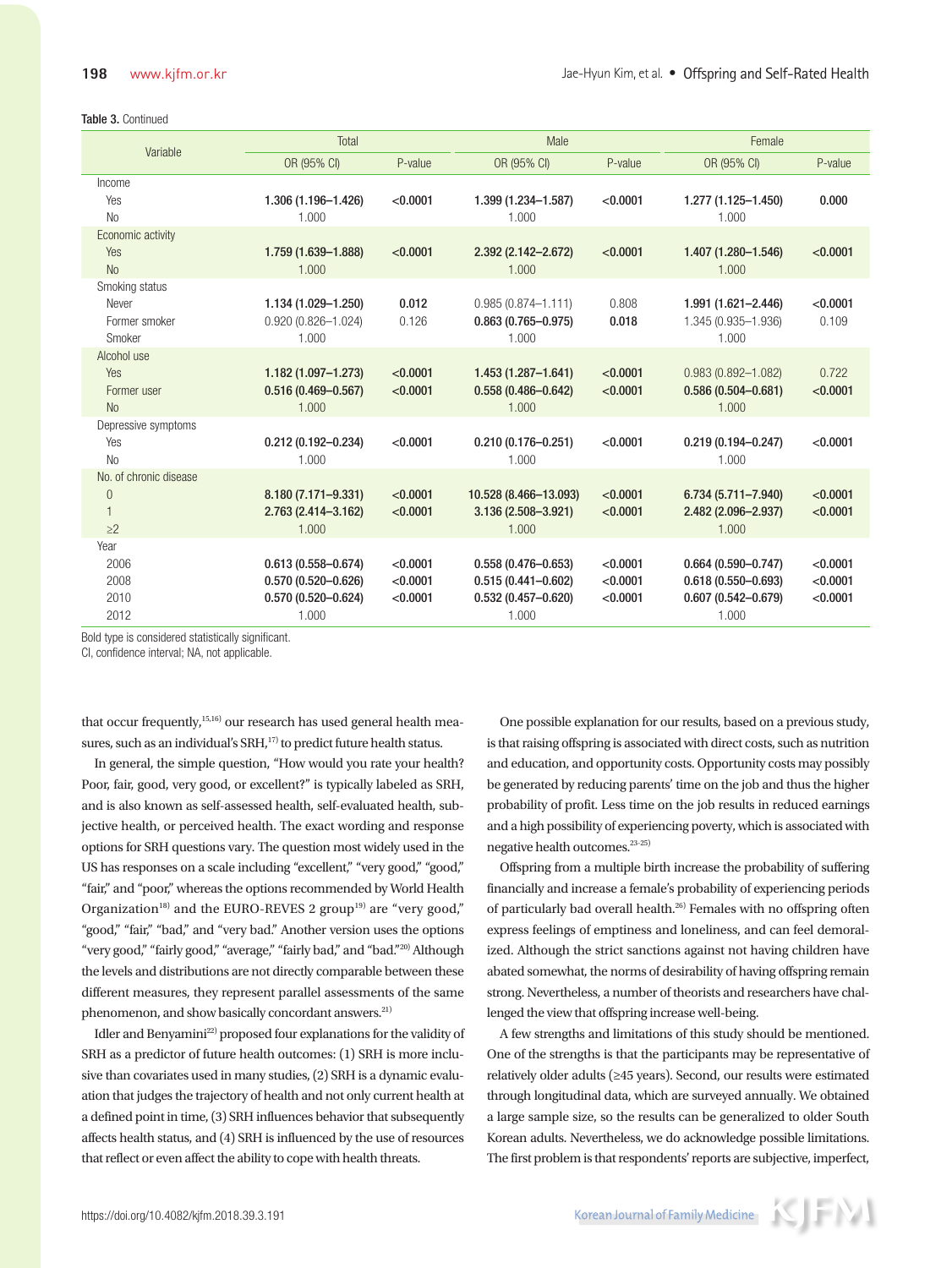#### Table 3. Continued

| Variable               | Total                           |          | Male                            |          | Female                          |          |
|------------------------|---------------------------------|----------|---------------------------------|----------|---------------------------------|----------|
|                        | OR (95% CI)                     | P-value  | OR (95% CI)                     | P-value  | OR (95% CI)                     | P-value  |
| Income                 |                                 |          |                                 |          |                                 |          |
| Yes                    | 1.306 (1.196-1.426)             | < 0.0001 | 1.399 (1.234-1.587)             | < 0.0001 | 1.277 (1.125-1.450)             | 0.000    |
| <b>No</b>              | 1.000                           |          | 1.000                           |          | 1.000                           |          |
| Economic activity      |                                 |          |                                 |          |                                 |          |
| Yes                    | 1.759 (1.639-1.888)             | < 0.0001 | 2.392 (2.142-2.672)             | < 0.0001 | 1.407 (1.280-1.546)             | < 0.0001 |
| <b>No</b>              | 1.000                           |          | 1.000                           |          | 1.000                           |          |
| Smoking status         |                                 |          |                                 |          |                                 |          |
| Never                  | 1.134 (1.029-1.250)             | 0.012    | $0.985(0.874 - 1.111)$          | 0.808    | 1.991 (1.621-2.446)             | < 0.0001 |
| Former smoker          | $0.920(0.826 - 1.024)$          | 0.126    | $0.863(0.765 - 0.975)$          | 0.018    | 1.345 (0.935-1.936)             | 0.109    |
| Smoker                 | 1.000                           |          | 1.000                           |          | 1.000                           |          |
| Alcohol use            |                                 |          |                                 |          |                                 |          |
| <b>Yes</b>             | $1.182(1.097 - 1.273)$          | < 0.0001 | $1.453(1.287 - 1.641)$          | < 0.0001 | $0.983(0.892 - 1.082)$          | 0.722    |
| Former user            | $0.516(0.469 - 0.567)$          | < 0.0001 | $0.558(0.486 - 0.642)$          | < 0.0001 | $0.586(0.504 - 0.681)$          | < 0.0001 |
| <b>No</b>              | 1.000                           |          | 1.000                           |          | 1.000                           |          |
| Depressive symptoms    |                                 |          |                                 |          |                                 |          |
| Yes<br><b>No</b>       | $0.212(0.192 - 0.234)$<br>1.000 | < 0.0001 | $0.210(0.176 - 0.251)$<br>1.000 | < 0.0001 | $0.219(0.194 - 0.247)$<br>1.000 | < 0.0001 |
| No. of chronic disease |                                 |          |                                 |          |                                 |          |
| $\theta$               | 8.180 (7.171-9.331)             | < 0.0001 | 10.528 (8.466-13.093)           | < 0.0001 | $6.734(5.711 - 7.940)$          | < 0.0001 |
| $\mathbf{1}$           | 2.763 (2.414-3.162)             | < 0.0001 | 3.136 (2.508-3.921)             | < 0.0001 | 2.482 (2.096-2.937)             | < 0.0001 |
| $\geq$ 2               | 1.000                           |          | 1.000                           |          | 1.000                           |          |
| Year                   |                                 |          |                                 |          |                                 |          |
| 2006                   | $0.613(0.558 - 0.674)$          | < 0.0001 | $0.558(0.476 - 0.653)$          | < 0.0001 | $0.664(0.590 - 0.747)$          | < 0.0001 |
| 2008                   | $0.570(0.520 - 0.626)$          | < 0.0001 | $0.515(0.441 - 0.602)$          | < 0.0001 | $0.618(0.550 - 0.693)$          | < 0.0001 |
| 2010                   | $0.570(0.520 - 0.624)$          | < 0.0001 | $0.532(0.457 - 0.620)$          | < 0.0001 | $0.607(0.542 - 0.679)$          | < 0.0001 |
| 2012                   | 1.000                           |          | 1.000                           |          | 1.000                           |          |

Bold type is considered statistically significant.

CI, confidence interval; NA, not applicable.

that occur frequently,<sup>15,16)</sup> our research has used general health measures, such as an individual's SRH,<sup>17)</sup> to predict future health status.

In general, the simple question, "How would you rate your health? Poor, fair, good, very good, or excellent?" is typically labeled as SRH, and is also known as self-assessed health, self-evaluated health, subjective health, or perceived health. The exact wording and response options for SRH questions vary. The question most widely used in the US has responses on a scale including "excellent," "very good," "good," "fair," and "poor," whereas the options recommended by World Health Organization<sup>18)</sup> and the EURO-REVES 2 group<sup>19)</sup> are "very good," "good," "fair," "bad," and "very bad." Another version uses the options "very good," "fairly good," "average," "fairly bad," and "bad."<sup>20)</sup> Although the levels and distributions are not directly comparable between these different measures, they represent parallel assessments of the same phenomenon, and show basically concordant answers.<sup>21)</sup>

Idler and Benyamini<sup>22)</sup> proposed four explanations for the validity of SRH as a predictor of future health outcomes: (1) SRH is more inclusive than covariates used in many studies, (2) SRH is a dynamic evaluation that judges the trajectory of health and not only current health at a defined point in time, (3) SRH influences behavior that subsequently affects health status, and (4) SRH is influenced by the use of resources that reflect or even affect the ability to cope with health threats.

One possible explanation for our results, based on a previous study, is that raising offspring is associated with direct costs, such as nutrition and education, and opportunity costs. Opportunity costs may possibly be generated by reducing parents' time on the job and thus the higher probability of profit. Less time on the job results in reduced earnings and a high possibility of experiencing poverty, which is associated with negative health outcomes.23-25)

Offspring from a multiple birth increase the probability of suffering financially and increase a female's probability of experiencing periods of particularly bad overall health.26) Females with no offspring often express feelings of emptiness and loneliness, and can feel demoralized. Although the strict sanctions against not having children have abated somewhat, the norms of desirability of having offspring remain strong. Nevertheless, a number of theorists and researchers have challenged the view that offspring increase well-being.

A few strengths and limitations of this study should be mentioned. One of the strengths is that the participants may be representative of relatively older adults (≥45 years). Second, our results were estimated through longitudinal data, which are surveyed annually. We obtained a large sample size, so the results can be generalized to older South Korean adults. Nevertheless, we do acknowledge possible limitations. The first problem is that respondents' reports are subjective, imperfect,